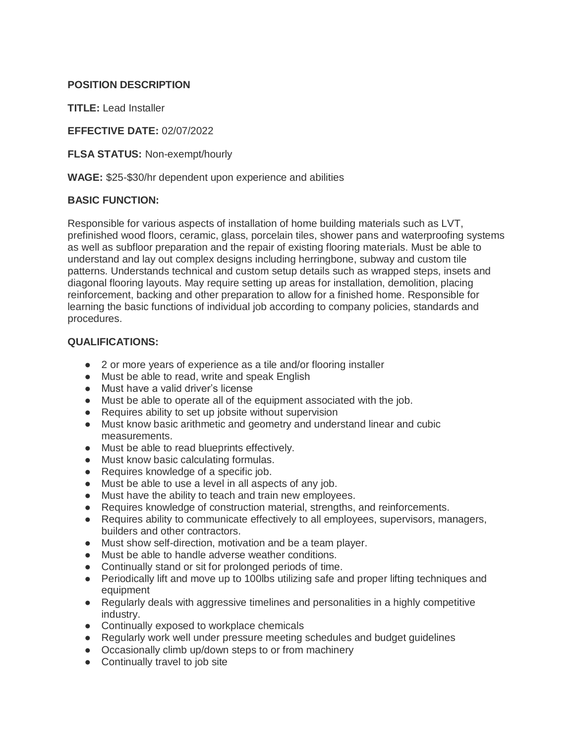## **POSITION DESCRIPTION**

**TITLE:** Lead Installer

**EFFECTIVE DATE:** 02/07/2022

**FLSA STATUS:** Non-exempt/hourly

**WAGE:** \$25-\$30/hr dependent upon experience and abilities

## **BASIC FUNCTION:**

Responsible for various aspects of installation of home building materials such as LVT, prefinished wood floors, ceramic, glass, porcelain tiles, shower pans and waterproofing systems as well as subfloor preparation and the repair of existing flooring materials. Must be able to understand and lay out complex designs including herringbone, subway and custom tile patterns. Understands technical and custom setup details such as wrapped steps, insets and diagonal flooring layouts. May require setting up areas for installation, demolition, placing reinforcement, backing and other preparation to allow for a finished home. Responsible for learning the basic functions of individual job according to company policies, standards and procedures.

## **QUALIFICATIONS:**

- 2 or more years of experience as a tile and/or flooring installer
- Must be able to read, write and speak English
- Must have a valid driver's license
- Must be able to operate all of the equipment associated with the job.
- Requires ability to set up jobsite without supervision
- Must know basic arithmetic and geometry and understand linear and cubic measurements.
- Must be able to read blueprints effectively.
- Must know basic calculating formulas.
- Requires knowledge of a specific job.
- Must be able to use a level in all aspects of any job.
- Must have the ability to teach and train new employees.
- Requires knowledge of construction material, strengths, and reinforcements.
- Requires ability to communicate effectively to all employees, supervisors, managers, builders and other contractors.
- Must show self-direction, motivation and be a team player.
- Must be able to handle adverse weather conditions.
- Continually stand or sit for prolonged periods of time.
- Periodically lift and move up to 100lbs utilizing safe and proper lifting techniques and equipment
- Regularly deals with aggressive timelines and personalities in a highly competitive industry.
- Continually exposed to workplace chemicals
- Regularly work well under pressure meeting schedules and budget guidelines
- Occasionally climb up/down steps to or from machinery
- Continually travel to job site